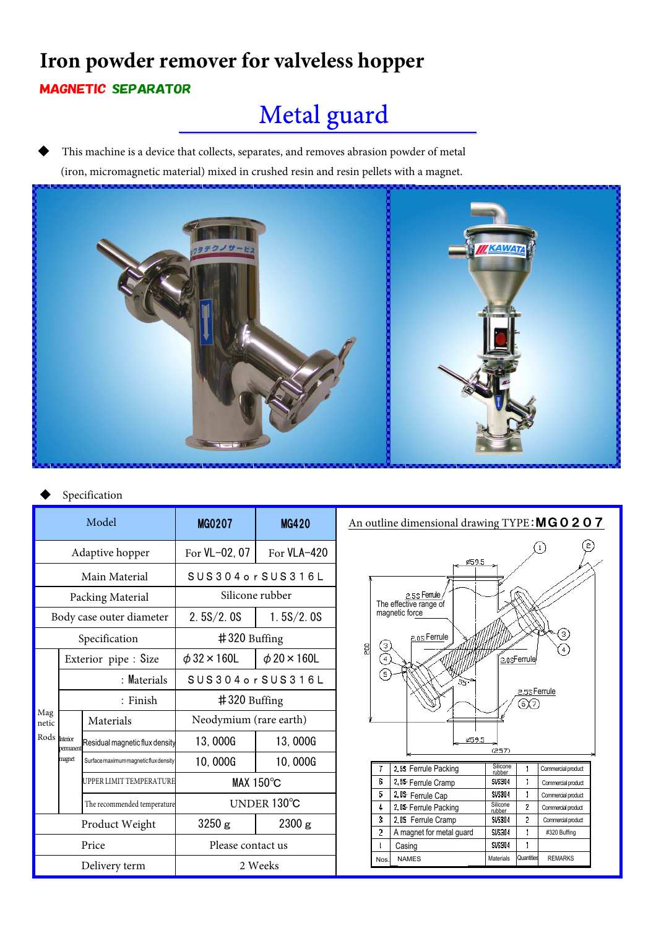## **Iron powder remover for valveless hopper** MAGNETIC SEPARATOR

# Metal guard

This machine is a device that collects, separates, and removes abrasion powder of metal (iron, micromagnetic material) mixed in crushed resin and resin pellets with a magnet.



#### Specification

| Model                         |                      |                                       | MG0207                  | <b>MG420</b>            |
|-------------------------------|----------------------|---------------------------------------|-------------------------|-------------------------|
| Adaptive hopper               |                      |                                       | For VL-02, 07           | For $VLA-420$           |
| Main Material                 |                      |                                       | SUS304 or SUS316 L      |                         |
| Packing Material              |                      |                                       | Silicone rubber         |                         |
| Body case outer diameter      |                      |                                       | 2.5S/2.0S               | 1.5S/2.0S               |
| Specification                 |                      |                                       | #320 Buffing            |                         |
| Mag<br>netic<br>Rods Interior | Exterior pipe : Size |                                       | $\phi$ 32 $\times$ 160L | $\phi$ 20 $\times$ 160L |
|                               | : Materials          |                                       | SUS304orSUS316L         |                         |
|                               | : Finish             |                                       | $\#320$ Buffing         |                         |
|                               | permanent<br>magnet  | Materials                             | Neodymium (rare earth)  |                         |
|                               |                      | Residual magnetic flux density        | 13,000G                 | 13,000G                 |
|                               |                      | Surface maximum magnetic flux density | 10,000G                 | 10,000G                 |
|                               |                      | UPPER LIMIT TEMPERATURE               | MAX $150^{\circ}$ C     |                         |
|                               |                      | The recommended temperature           | UNDER 130°C             |                         |
| Product Weight                |                      |                                       | 3250 g                  | 2300 g                  |
| Price                         |                      |                                       | Please contact us       |                         |
| Delivery term                 |                      |                                       | 2 Weeks                 |                         |